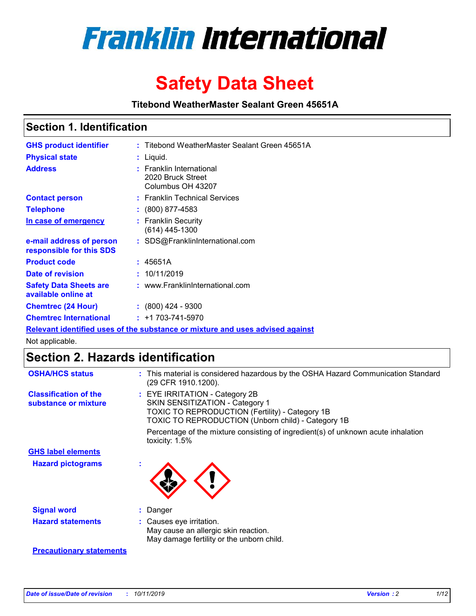

# **Safety Data Sheet**

**Titebond WeatherMaster Sealant Green 45651A**

### **Section 1. Identification**

| <b>GHS product identifier</b>                        | : Titebond WeatherMaster Sealant Green 45651A                                 |
|------------------------------------------------------|-------------------------------------------------------------------------------|
| <b>Physical state</b>                                | : Liquid.                                                                     |
| <b>Address</b>                                       | <b>Franklin International</b><br>2020 Bruck Street<br>Columbus OH 43207       |
| <b>Contact person</b>                                | : Franklin Technical Services                                                 |
| <b>Telephone</b>                                     | $\colon$ (800) 877-4583                                                       |
| In case of emergency                                 | : Franklin Security<br>(614) 445-1300                                         |
| e-mail address of person<br>responsible for this SDS | : SDS@FranklinInternational.com                                               |
| <b>Product code</b>                                  | : 45651A                                                                      |
| Date of revision                                     | : 10/11/2019                                                                  |
| <b>Safety Data Sheets are</b><br>available online at | : www.FranklinInternational.com                                               |
| <b>Chemtrec (24 Hour)</b>                            | $\div$ (800) 424 - 9300                                                       |
| <b>Chemtrec International</b>                        | $: +1703 - 741 - 5970$                                                        |
|                                                      | Relevant identified uses of the substance or mixture and uses advised against |

Not applicable.

## **Section 2. Hazards identification**

| <b>OSHA/HCS status</b>                               | : This material is considered hazardous by the OSHA Hazard Communication Standard<br>(29 CFR 1910.1200).                                                                          |
|------------------------------------------------------|-----------------------------------------------------------------------------------------------------------------------------------------------------------------------------------|
| <b>Classification of the</b><br>substance or mixture | : EYE IRRITATION - Category 2B<br>SKIN SENSITIZATION - Category 1<br><b>TOXIC TO REPRODUCTION (Fertility) - Category 1B</b><br>TOXIC TO REPRODUCTION (Unborn child) - Category 1B |
|                                                      | Percentage of the mixture consisting of ingredient(s) of unknown acute inhalation<br>toxicity: $1.5\%$                                                                            |
| <b>GHS label elements</b>                            |                                                                                                                                                                                   |
| <b>Hazard pictograms</b>                             |                                                                                                                                                                                   |
| <b>Signal word</b>                                   | : Danger                                                                                                                                                                          |
| <b>Hazard statements</b>                             | : Causes eye irritation.<br>May cause an allergic skin reaction.<br>May damage fertility or the unborn child.                                                                     |
| <b>Precautionary statements</b>                      |                                                                                                                                                                                   |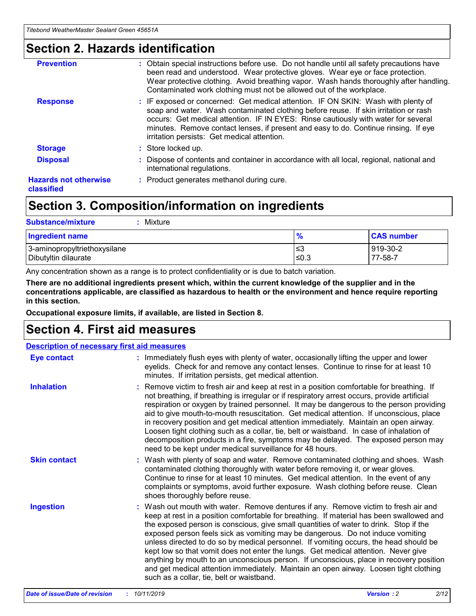### **Section 2. Hazards identification**

| <b>Prevention</b>                          | : Obtain special instructions before use. Do not handle until all safety precautions have<br>been read and understood. Wear protective gloves. Wear eye or face protection.<br>Wear protective clothing. Avoid breathing vapor. Wash hands thoroughly after handling.<br>Contaminated work clothing must not be allowed out of the workplace.                                                        |
|--------------------------------------------|------------------------------------------------------------------------------------------------------------------------------------------------------------------------------------------------------------------------------------------------------------------------------------------------------------------------------------------------------------------------------------------------------|
| <b>Response</b>                            | : IF exposed or concerned: Get medical attention. IF ON SKIN: Wash with plenty of<br>soap and water. Wash contaminated clothing before reuse. If skin irritation or rash<br>occurs: Get medical attention. IF IN EYES: Rinse cautiously with water for several<br>minutes. Remove contact lenses, if present and easy to do. Continue rinsing. If eye<br>irritation persists: Get medical attention. |
| <b>Storage</b>                             | : Store locked up.                                                                                                                                                                                                                                                                                                                                                                                   |
| <b>Disposal</b>                            | : Dispose of contents and container in accordance with all local, regional, national and<br>international regulations.                                                                                                                                                                                                                                                                               |
| <b>Hazards not otherwise</b><br>classified | : Product generates methanol during cure.                                                                                                                                                                                                                                                                                                                                                            |
|                                            |                                                                                                                                                                                                                                                                                                                                                                                                      |

### **Section 3. Composition/information on ingredients**

| <b>Substance/mixture</b><br>Mixture                  |               |                     |
|------------------------------------------------------|---------------|---------------------|
| <b>Ingredient name</b>                               | $\frac{9}{6}$ | <b>CAS number</b>   |
| 3-aminopropyltriethoxysilane<br>Dibutyltin dilaurate | ≤3<br>$≤0.3$  | 919-30-2<br>77-58-7 |

Any concentration shown as a range is to protect confidentiality or is due to batch variation.

**There are no additional ingredients present which, within the current knowledge of the supplier and in the concentrations applicable, are classified as hazardous to health or the environment and hence require reporting in this section.**

**Occupational exposure limits, if available, are listed in Section 8.**

### **Section 4. First aid measures**

| <b>Description of necessary first aid measures</b> |                                                                                                                                                                                                                                                                                                                                                                                                                                                                                                                                                                                                                                                                                                                                                                           |
|----------------------------------------------------|---------------------------------------------------------------------------------------------------------------------------------------------------------------------------------------------------------------------------------------------------------------------------------------------------------------------------------------------------------------------------------------------------------------------------------------------------------------------------------------------------------------------------------------------------------------------------------------------------------------------------------------------------------------------------------------------------------------------------------------------------------------------------|
| <b>Eye contact</b>                                 | : Immediately flush eyes with plenty of water, occasionally lifting the upper and lower<br>eyelids. Check for and remove any contact lenses. Continue to rinse for at least 10<br>minutes. If irritation persists, get medical attention.                                                                                                                                                                                                                                                                                                                                                                                                                                                                                                                                 |
| <b>Inhalation</b>                                  | : Remove victim to fresh air and keep at rest in a position comfortable for breathing. If<br>not breathing, if breathing is irregular or if respiratory arrest occurs, provide artificial<br>respiration or oxygen by trained personnel. It may be dangerous to the person providing<br>aid to give mouth-to-mouth resuscitation. Get medical attention. If unconscious, place<br>in recovery position and get medical attention immediately. Maintain an open airway.<br>Loosen tight clothing such as a collar, tie, belt or waistband. In case of inhalation of<br>decomposition products in a fire, symptoms may be delayed. The exposed person may<br>need to be kept under medical surveillance for 48 hours.                                                       |
| <b>Skin contact</b>                                | : Wash with plenty of soap and water. Remove contaminated clothing and shoes. Wash<br>contaminated clothing thoroughly with water before removing it, or wear gloves.<br>Continue to rinse for at least 10 minutes. Get medical attention. In the event of any<br>complaints or symptoms, avoid further exposure. Wash clothing before reuse. Clean<br>shoes thoroughly before reuse.                                                                                                                                                                                                                                                                                                                                                                                     |
| <b>Ingestion</b>                                   | : Wash out mouth with water. Remove dentures if any. Remove victim to fresh air and<br>keep at rest in a position comfortable for breathing. If material has been swallowed and<br>the exposed person is conscious, give small quantities of water to drink. Stop if the<br>exposed person feels sick as vomiting may be dangerous. Do not induce vomiting<br>unless directed to do so by medical personnel. If vomiting occurs, the head should be<br>kept low so that vomit does not enter the lungs. Get medical attention. Never give<br>anything by mouth to an unconscious person. If unconscious, place in recovery position<br>and get medical attention immediately. Maintain an open airway. Loosen tight clothing<br>such as a collar, tie, belt or waistband. |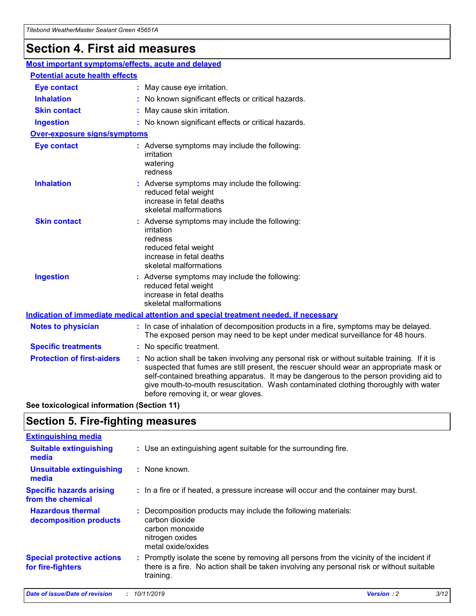## **Section 4. First aid measures**

| Most important symptoms/effects, acute and delayed |  |                                                                                                                                                                                                                                                                                                                                                                                                                 |
|----------------------------------------------------|--|-----------------------------------------------------------------------------------------------------------------------------------------------------------------------------------------------------------------------------------------------------------------------------------------------------------------------------------------------------------------------------------------------------------------|
| <b>Potential acute health effects</b>              |  |                                                                                                                                                                                                                                                                                                                                                                                                                 |
| <b>Eye contact</b>                                 |  | : May cause eye irritation.                                                                                                                                                                                                                                                                                                                                                                                     |
| <b>Inhalation</b>                                  |  | : No known significant effects or critical hazards.                                                                                                                                                                                                                                                                                                                                                             |
| <b>Skin contact</b>                                |  | : May cause skin irritation.                                                                                                                                                                                                                                                                                                                                                                                    |
| <b>Ingestion</b>                                   |  | : No known significant effects or critical hazards.                                                                                                                                                                                                                                                                                                                                                             |
| Over-exposure signs/symptoms                       |  |                                                                                                                                                                                                                                                                                                                                                                                                                 |
| <b>Eye contact</b>                                 |  | : Adverse symptoms may include the following:<br>irritation<br>watering<br>redness                                                                                                                                                                                                                                                                                                                              |
| <b>Inhalation</b>                                  |  | : Adverse symptoms may include the following:<br>reduced fetal weight<br>increase in fetal deaths<br>skeletal malformations                                                                                                                                                                                                                                                                                     |
| <b>Skin contact</b>                                |  | : Adverse symptoms may include the following:<br>irritation<br>redness<br>reduced fetal weight<br>increase in fetal deaths<br>skeletal malformations                                                                                                                                                                                                                                                            |
| <b>Ingestion</b>                                   |  | : Adverse symptoms may include the following:<br>reduced fetal weight<br>increase in fetal deaths<br>skeletal malformations                                                                                                                                                                                                                                                                                     |
|                                                    |  | <b>Indication of immediate medical attention and special treatment needed, if necessary</b>                                                                                                                                                                                                                                                                                                                     |
| <b>Notes to physician</b>                          |  | : In case of inhalation of decomposition products in a fire, symptoms may be delayed.<br>The exposed person may need to be kept under medical surveillance for 48 hours.                                                                                                                                                                                                                                        |
| <b>Specific treatments</b>                         |  | : No specific treatment.                                                                                                                                                                                                                                                                                                                                                                                        |
| <b>Protection of first-aiders</b>                  |  | : No action shall be taken involving any personal risk or without suitable training. If it is<br>suspected that fumes are still present, the rescuer should wear an appropriate mask or<br>self-contained breathing apparatus. It may be dangerous to the person providing aid to<br>give mouth-to-mouth resuscitation. Wash contaminated clothing thoroughly with water<br>before removing it, or wear gloves. |

**See toxicological information (Section 11)**

### **Section 5. Fire-fighting measures**

| <b>Extinguishing media</b>                             |                                                                                                                                                                                                     |
|--------------------------------------------------------|-----------------------------------------------------------------------------------------------------------------------------------------------------------------------------------------------------|
| <b>Suitable extinguishing</b><br>media                 | : Use an extinguishing agent suitable for the surrounding fire.                                                                                                                                     |
| <b>Unsuitable extinguishing</b><br>media               | : None known.                                                                                                                                                                                       |
| <b>Specific hazards arising</b><br>from the chemical   | : In a fire or if heated, a pressure increase will occur and the container may burst.                                                                                                               |
| <b>Hazardous thermal</b><br>decomposition products     | : Decomposition products may include the following materials:<br>carbon dioxide<br>carbon monoxide<br>nitrogen oxides<br>metal oxide/oxides                                                         |
| <b>Special protective actions</b><br>for fire-fighters | : Promptly isolate the scene by removing all persons from the vicinity of the incident if<br>there is a fire. No action shall be taken involving any personal risk or without suitable<br>training. |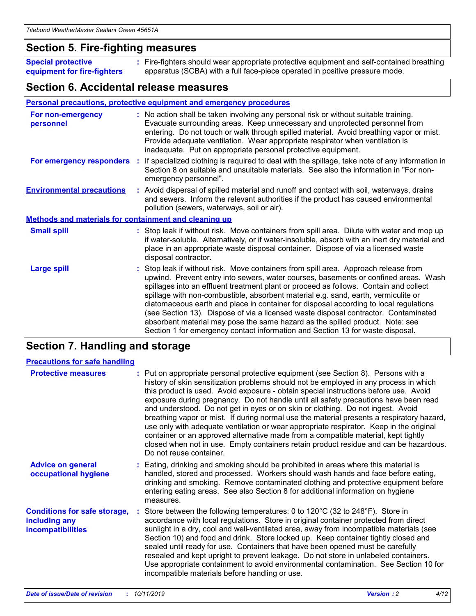### **Section 5. Fire-fighting measures**

**Special protective equipment for fire-fighters** Fire-fighters should wear appropriate protective equipment and self-contained breathing **:** apparatus (SCBA) with a full face-piece operated in positive pressure mode.

### **Section 6. Accidental release measures**

#### **Personal precautions, protective equipment and emergency procedures**

| For non-emergency<br>personnel                               | : No action shall be taken involving any personal risk or without suitable training.<br>Evacuate surrounding areas. Keep unnecessary and unprotected personnel from<br>entering. Do not touch or walk through spilled material. Avoid breathing vapor or mist.<br>Provide adequate ventilation. Wear appropriate respirator when ventilation is<br>inadequate. Put on appropriate personal protective equipment.                                                                                                                                                                                                                                                                                             |
|--------------------------------------------------------------|--------------------------------------------------------------------------------------------------------------------------------------------------------------------------------------------------------------------------------------------------------------------------------------------------------------------------------------------------------------------------------------------------------------------------------------------------------------------------------------------------------------------------------------------------------------------------------------------------------------------------------------------------------------------------------------------------------------|
|                                                              | For emergency responders : If specialized clothing is required to deal with the spillage, take note of any information in<br>Section 8 on suitable and unsuitable materials. See also the information in "For non-<br>emergency personnel".                                                                                                                                                                                                                                                                                                                                                                                                                                                                  |
| <b>Environmental precautions</b>                             | : Avoid dispersal of spilled material and runoff and contact with soil, waterways, drains<br>and sewers. Inform the relevant authorities if the product has caused environmental<br>pollution (sewers, waterways, soil or air).                                                                                                                                                                                                                                                                                                                                                                                                                                                                              |
| <b>Methods and materials for containment and cleaning up</b> |                                                                                                                                                                                                                                                                                                                                                                                                                                                                                                                                                                                                                                                                                                              |
| <b>Small spill</b>                                           | : Stop leak if without risk. Move containers from spill area. Dilute with water and mop up<br>if water-soluble. Alternatively, or if water-insoluble, absorb with an inert dry material and<br>place in an appropriate waste disposal container. Dispose of via a licensed waste<br>disposal contractor.                                                                                                                                                                                                                                                                                                                                                                                                     |
| <b>Large spill</b>                                           | : Stop leak if without risk. Move containers from spill area. Approach release from<br>upwind. Prevent entry into sewers, water courses, basements or confined areas. Wash<br>spillages into an effluent treatment plant or proceed as follows. Contain and collect<br>spillage with non-combustible, absorbent material e.g. sand, earth, vermiculite or<br>diatomaceous earth and place in container for disposal according to local regulations<br>(see Section 13). Dispose of via a licensed waste disposal contractor. Contaminated<br>absorbent material may pose the same hazard as the spilled product. Note: see<br>Section 1 for emergency contact information and Section 13 for waste disposal. |

### **Section 7. Handling and storage**

| <b>Precautions for safe handling</b>                                             |                                                                                                                                                                                                                                                                                                                                                                                                                                                                                                                                                                                                                                                                                                                                                                                                                                                  |
|----------------------------------------------------------------------------------|--------------------------------------------------------------------------------------------------------------------------------------------------------------------------------------------------------------------------------------------------------------------------------------------------------------------------------------------------------------------------------------------------------------------------------------------------------------------------------------------------------------------------------------------------------------------------------------------------------------------------------------------------------------------------------------------------------------------------------------------------------------------------------------------------------------------------------------------------|
| <b>Protective measures</b>                                                       | : Put on appropriate personal protective equipment (see Section 8). Persons with a<br>history of skin sensitization problems should not be employed in any process in which<br>this product is used. Avoid exposure - obtain special instructions before use. Avoid<br>exposure during pregnancy. Do not handle until all safety precautions have been read<br>and understood. Do not get in eyes or on skin or clothing. Do not ingest. Avoid<br>breathing vapor or mist. If during normal use the material presents a respiratory hazard,<br>use only with adequate ventilation or wear appropriate respirator. Keep in the original<br>container or an approved alternative made from a compatible material, kept tightly<br>closed when not in use. Empty containers retain product residue and can be hazardous.<br>Do not reuse container. |
| <b>Advice on general</b><br>occupational hygiene                                 | : Eating, drinking and smoking should be prohibited in areas where this material is<br>handled, stored and processed. Workers should wash hands and face before eating,<br>drinking and smoking. Remove contaminated clothing and protective equipment before<br>entering eating areas. See also Section 8 for additional information on hygiene<br>measures.                                                                                                                                                                                                                                                                                                                                                                                                                                                                                    |
| <b>Conditions for safe storage,</b><br>including any<br><b>incompatibilities</b> | Store between the following temperatures: 0 to 120°C (32 to 248°F). Store in<br>accordance with local regulations. Store in original container protected from direct<br>sunlight in a dry, cool and well-ventilated area, away from incompatible materials (see<br>Section 10) and food and drink. Store locked up. Keep container tightly closed and<br>sealed until ready for use. Containers that have been opened must be carefully<br>resealed and kept upright to prevent leakage. Do not store in unlabeled containers.<br>Use appropriate containment to avoid environmental contamination. See Section 10 for<br>incompatible materials before handling or use.                                                                                                                                                                         |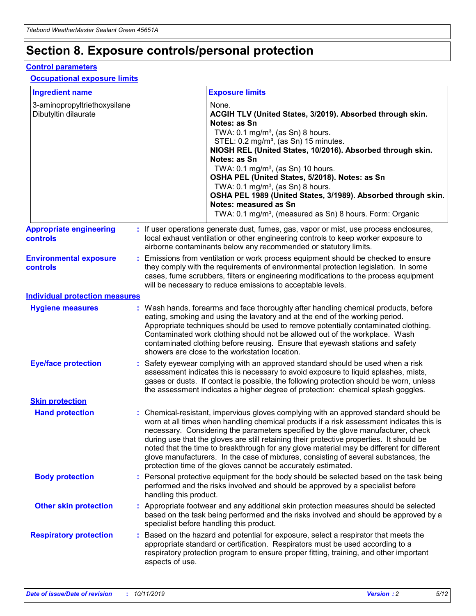## **Section 8. Exposure controls/personal protection**

#### **Control parameters**

#### **Occupational exposure limits**

| <b>Ingredient name</b>                               |    |                                          | <b>Exposure limits</b>                                                                                                                                                                                                                                                                                                                                                                                                                                                                                                                                                                                                 |
|------------------------------------------------------|----|------------------------------------------|------------------------------------------------------------------------------------------------------------------------------------------------------------------------------------------------------------------------------------------------------------------------------------------------------------------------------------------------------------------------------------------------------------------------------------------------------------------------------------------------------------------------------------------------------------------------------------------------------------------------|
| 3-aminopropyltriethoxysilane<br>Dibutyltin dilaurate |    |                                          | None.<br>ACGIH TLV (United States, 3/2019). Absorbed through skin.<br>Notes: as Sn<br>TWA: 0.1 mg/m <sup>3</sup> , (as Sn) 8 hours.<br>STEL: 0.2 mg/m <sup>3</sup> , (as Sn) 15 minutes.<br>NIOSH REL (United States, 10/2016). Absorbed through skin.<br>Notes: as Sn<br>TWA: 0.1 mg/m <sup>3</sup> , (as Sn) 10 hours.<br>OSHA PEL (United States, 5/2018). Notes: as Sn<br>TWA: $0.1 \text{ mg/m}^3$ , (as Sn) 8 hours.<br>OSHA PEL 1989 (United States, 3/1989). Absorbed through skin.<br>Notes: measured as Sn<br>TWA: 0.1 mg/m <sup>3</sup> , (measured as Sn) 8 hours. Form: Organic                           |
| <b>Appropriate engineering</b><br>controls           |    |                                          | : If user operations generate dust, fumes, gas, vapor or mist, use process enclosures,<br>local exhaust ventilation or other engineering controls to keep worker exposure to<br>airborne contaminants below any recommended or statutory limits.                                                                                                                                                                                                                                                                                                                                                                       |
| <b>Environmental exposure</b><br><b>controls</b>     |    |                                          | Emissions from ventilation or work process equipment should be checked to ensure<br>they comply with the requirements of environmental protection legislation. In some<br>cases, fume scrubbers, filters or engineering modifications to the process equipment<br>will be necessary to reduce emissions to acceptable levels.                                                                                                                                                                                                                                                                                          |
| <b>Individual protection measures</b>                |    |                                          |                                                                                                                                                                                                                                                                                                                                                                                                                                                                                                                                                                                                                        |
| <b>Hygiene measures</b>                              |    |                                          | : Wash hands, forearms and face thoroughly after handling chemical products, before<br>eating, smoking and using the lavatory and at the end of the working period.<br>Appropriate techniques should be used to remove potentially contaminated clothing.<br>Contaminated work clothing should not be allowed out of the workplace. Wash<br>contaminated clothing before reusing. Ensure that eyewash stations and safety<br>showers are close to the workstation location.                                                                                                                                            |
| <b>Eye/face protection</b>                           |    |                                          | : Safety eyewear complying with an approved standard should be used when a risk<br>assessment indicates this is necessary to avoid exposure to liquid splashes, mists,<br>gases or dusts. If contact is possible, the following protection should be worn, unless<br>the assessment indicates a higher degree of protection: chemical splash goggles.                                                                                                                                                                                                                                                                  |
| <b>Skin protection</b>                               |    |                                          |                                                                                                                                                                                                                                                                                                                                                                                                                                                                                                                                                                                                                        |
| <b>Hand protection</b>                               |    |                                          | : Chemical-resistant, impervious gloves complying with an approved standard should be<br>worn at all times when handling chemical products if a risk assessment indicates this is<br>necessary. Considering the parameters specified by the glove manufacturer, check<br>during use that the gloves are still retaining their protective properties. It should be<br>noted that the time to breakthrough for any glove material may be different for different<br>glove manufacturers. In the case of mixtures, consisting of several substances, the<br>protection time of the gloves cannot be accurately estimated. |
| <b>Body protection</b>                               |    | handling this product.                   | Personal protective equipment for the body should be selected based on the task being<br>performed and the risks involved and should be approved by a specialist before                                                                                                                                                                                                                                                                                                                                                                                                                                                |
| <b>Other skin protection</b>                         |    | specialist before handling this product. | : Appropriate footwear and any additional skin protection measures should be selected<br>based on the task being performed and the risks involved and should be approved by a                                                                                                                                                                                                                                                                                                                                                                                                                                          |
| <b>Respiratory protection</b>                        | ÷. | aspects of use.                          | Based on the hazard and potential for exposure, select a respirator that meets the<br>appropriate standard or certification. Respirators must be used according to a<br>respiratory protection program to ensure proper fitting, training, and other important                                                                                                                                                                                                                                                                                                                                                         |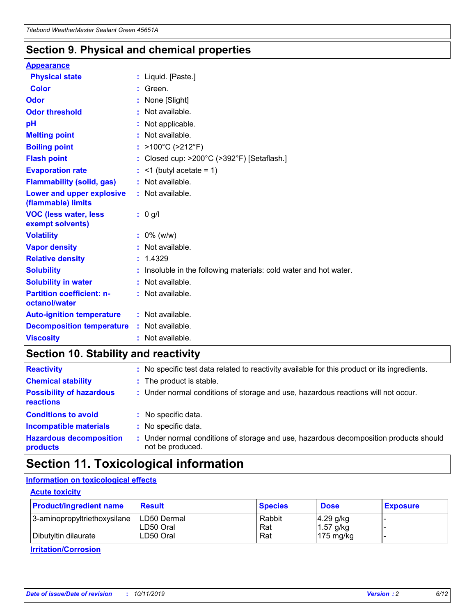### **Section 9. Physical and chemical properties**

#### **Appearance**

| <b>Physical state</b>                             | : Liquid. [Paste.]                                              |
|---------------------------------------------------|-----------------------------------------------------------------|
| Color                                             | Green.                                                          |
| Odor                                              | : None [Slight]                                                 |
| <b>Odor threshold</b>                             | $:$ Not available.                                              |
| рH                                                | : Not applicable.                                               |
| <b>Melting point</b>                              | : Not available.                                                |
| <b>Boiling point</b>                              | : >100°C (>212°F)                                               |
| <b>Flash point</b>                                | : Closed cup: $>200^{\circ}$ C ( $>392^{\circ}$ F) [Setaflash.] |
| <b>Evaporation rate</b>                           | $:$ <1 (butyl acetate = 1)                                      |
| <b>Flammability (solid, gas)</b>                  | : Not available.                                                |
| Lower and upper explosive<br>(flammable) limits   | : Not available.                                                |
| <b>VOC (less water, less</b>                      | $: 0$ g/l                                                       |
| exempt solvents)                                  |                                                                 |
| <b>Volatility</b>                                 | $: 0\%$ (w/w)                                                   |
| <b>Vapor density</b>                              | : Not available.                                                |
| <b>Relative density</b>                           | : 1.4329                                                        |
| <b>Solubility</b>                                 | Insoluble in the following materials: cold water and hot water. |
| <b>Solubility in water</b>                        | : Not available.                                                |
| <b>Partition coefficient: n-</b><br>octanol/water | $:$ Not available.                                              |
| <b>Auto-ignition temperature</b>                  | : Not available.                                                |
| <b>Decomposition temperature</b>                  | : Not available.                                                |

### **Section 10. Stability and reactivity**

| <b>Reactivity</b>                            |    | : No specific test data related to reactivity available for this product or its ingredients.            |
|----------------------------------------------|----|---------------------------------------------------------------------------------------------------------|
| <b>Chemical stability</b>                    |    | : The product is stable.                                                                                |
| <b>Possibility of hazardous</b><br>reactions |    | : Under normal conditions of storage and use, hazardous reactions will not occur.                       |
| <b>Conditions to avoid</b>                   |    | : No specific data.                                                                                     |
| <b>Incompatible materials</b>                | ٠. | No specific data.                                                                                       |
| <b>Hazardous decomposition</b><br>products   | ÷. | Under normal conditions of storage and use, hazardous decomposition products should<br>not be produced. |

### **Section 11. Toxicological information**

### **Information on toxicological effects**

#### **Acute toxicity**

| <b>Product/ingredient name</b> | <b>Result</b>           | <b>Species</b> | <b>Dose</b>                | <b>Exposure</b> |
|--------------------------------|-------------------------|----------------|----------------------------|-----------------|
| 3-aminopropyltriethoxysilane   | <b>ILD50 Dermal</b>     | Rabbit         | 4.29 g/kg                  |                 |
| Dibutyltin dilaurate           | ILD50 Oral<br>LD50 Oral | Rat<br>Rat     | $1.57$ g/kg<br>175 $mg/kg$ |                 |
|                                |                         |                |                            |                 |

**Irritation/Corrosion**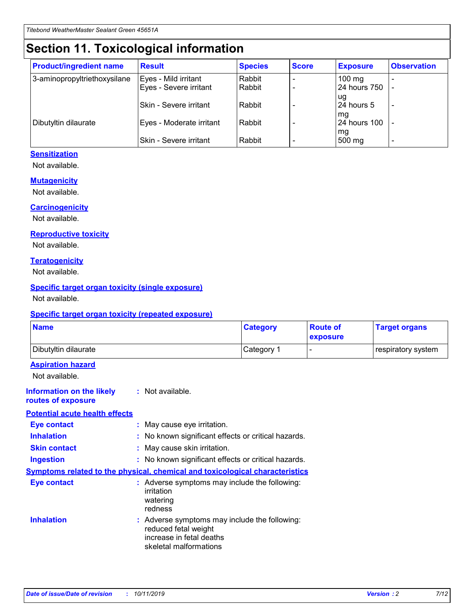## **Section 11. Toxicological information**

| <b>Product/ingredient name</b> | <b>Result</b>            | <b>Species</b> | <b>Score</b> | <b>Exposure</b>           | <b>Observation</b> |
|--------------------------------|--------------------------|----------------|--------------|---------------------------|--------------------|
| 3-aminopropyltriethoxysilane   | Eyes - Mild irritant     | Rabbit         |              | $100$ mg                  |                    |
|                                | Eyes - Severe irritant   | Rabbit         |              | 24 hours 750              |                    |
|                                |                          |                |              | ug                        |                    |
|                                | Skin - Severe irritant   | Rabbit         |              | 24 hours 5                | -                  |
| Dibutyltin dilaurate           | Eyes - Moderate irritant | Rabbit         |              | mq<br><b>24 hours 100</b> |                    |
|                                |                          |                |              | mg                        |                    |
|                                | Skin - Severe irritant   | Rabbit         |              | 500 mg                    |                    |

#### **Sensitization**

Not available.

#### **Mutagenicity**

Not available.

#### **Carcinogenicity**

Not available.

#### **Reproductive toxicity**

Not available.

#### **Teratogenicity**

Not available.

#### **Specific target organ toxicity (single exposure)**

Not available.

#### **Specific target organ toxicity (repeated exposure)**

| <b>Name</b>                                                                  |                                                                                                                             | <b>Category</b> | <b>Route of</b><br>exposure  | <b>Target organs</b> |
|------------------------------------------------------------------------------|-----------------------------------------------------------------------------------------------------------------------------|-----------------|------------------------------|----------------------|
| Dibutyltin dilaurate                                                         |                                                                                                                             | Category 1      | $\qquad \qquad \blacksquare$ | respiratory system   |
| <b>Aspiration hazard</b><br>Not available.                                   |                                                                                                                             |                 |                              |                      |
| <b>Information on the likely</b><br>routes of exposure                       | : Not available.                                                                                                            |                 |                              |                      |
| <b>Potential acute health effects</b>                                        |                                                                                                                             |                 |                              |                      |
| <b>Eye contact</b>                                                           | : May cause eye irritation.                                                                                                 |                 |                              |                      |
| <b>Inhalation</b>                                                            | : No known significant effects or critical hazards.                                                                         |                 |                              |                      |
| <b>Skin contact</b>                                                          | : May cause skin irritation.                                                                                                |                 |                              |                      |
| <b>Ingestion</b>                                                             | : No known significant effects or critical hazards.                                                                         |                 |                              |                      |
| Symptoms related to the physical, chemical and toxicological characteristics |                                                                                                                             |                 |                              |                      |
| <b>Eye contact</b>                                                           | : Adverse symptoms may include the following:<br>irritation<br>watering<br>redness                                          |                 |                              |                      |
| <b>Inhalation</b>                                                            | : Adverse symptoms may include the following:<br>reduced fetal weight<br>increase in fetal deaths<br>skeletal malformations |                 |                              |                      |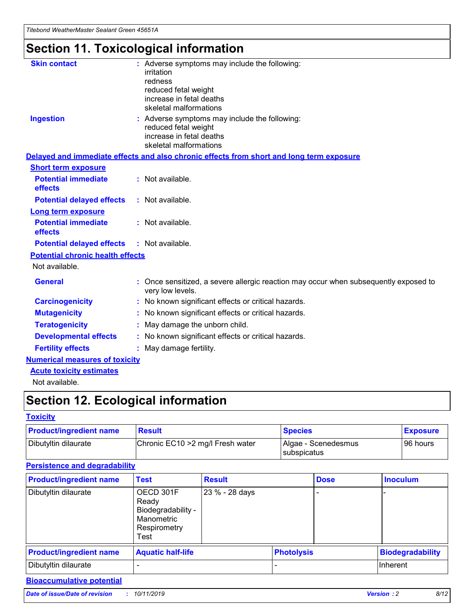## **Section 11. Toxicological information**

| <b>Skin contact</b>                     | : Adverse symptoms may include the following:<br>irritation<br>redness<br>reduced fetal weight<br>increase in fetal deaths<br>skeletal malformations |
|-----------------------------------------|------------------------------------------------------------------------------------------------------------------------------------------------------|
| <b>Ingestion</b>                        | : Adverse symptoms may include the following:<br>reduced fetal weight<br>increase in fetal deaths<br>skeletal malformations                          |
|                                         | Delayed and immediate effects and also chronic effects from short and long term exposure                                                             |
| <b>Short term exposure</b>              |                                                                                                                                                      |
| <b>Potential immediate</b><br>effects   | : Not available.                                                                                                                                     |
| <b>Potential delayed effects</b>        | : Not available.                                                                                                                                     |
| <b>Long term exposure</b>               |                                                                                                                                                      |
| <b>Potential immediate</b><br>effects   | : Not available.                                                                                                                                     |
| <b>Potential delayed effects</b>        | : Not available.                                                                                                                                     |
| <b>Potential chronic health effects</b> |                                                                                                                                                      |
| Not available.                          |                                                                                                                                                      |
| <b>General</b>                          | : Once sensitized, a severe allergic reaction may occur when subsequently exposed to<br>very low levels.                                             |
| <b>Carcinogenicity</b>                  | : No known significant effects or critical hazards.                                                                                                  |
| <b>Mutagenicity</b>                     | No known significant effects or critical hazards.                                                                                                    |
| <b>Teratogenicity</b>                   | May damage the unborn child.                                                                                                                         |
| <b>Developmental effects</b>            | No known significant effects or critical hazards.                                                                                                    |
| <b>Fertility effects</b>                | : May damage fertility.                                                                                                                              |
| <b>Numerical measures of toxicity</b>   |                                                                                                                                                      |
| <b>Acute toxicity estimates</b>         |                                                                                                                                                      |
|                                         |                                                                                                                                                      |

Not available.

## **Section 12. Ecological information**

#### **Toxicity**

| <b>Product/ingredient name</b> | <b>Result</b>                     | <b>Species</b>                       | <b>Exposure</b> |
|--------------------------------|-----------------------------------|--------------------------------------|-----------------|
| Dibutyltin dilaurate           | Chronic EC10 > 2 mg/l Fresh water | Algae - Scenedesmus<br>I subspicatus | l 96 hours i    |

### **Persistence and degradability**

| <b>Product/ingredient name</b> | <b>Test</b>                                                                    | <b>Result</b>  |                   | <b>Dose</b> | <b>Inoculum</b>         |
|--------------------------------|--------------------------------------------------------------------------------|----------------|-------------------|-------------|-------------------------|
| Dibutyltin dilaurate           | OECD 301F<br>Ready<br>Biodegradability -<br>Manometric<br>Respirometry<br>Test | 23 % - 28 days |                   |             |                         |
| <b>Product/ingredient name</b> | <b>Aquatic half-life</b>                                                       |                | <b>Photolysis</b> |             | <b>Biodegradability</b> |
| Dibutyltin dilaurate           |                                                                                |                |                   |             | Inherent                |

### **Bioaccumulative potential**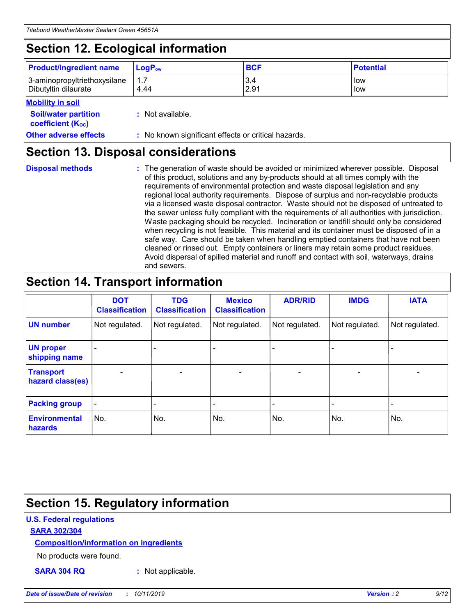## **Section 12. Ecological information**

| <b>Product/ingredient name</b> | $LoaPow$ | <b>BCF</b> | <b>Potential</b> |
|--------------------------------|----------|------------|------------------|
| 3-aminopropyltriethoxysilane   | 1.7      | 3.4        | low              |
| Dibutyltin dilaurate           | 4.44     | 2.91       | low              |

#### **Mobility in soil**

| <i></i>                                                       |                                                     |
|---------------------------------------------------------------|-----------------------------------------------------|
| <b>Soil/water partition</b><br>coefficient (K <sub>oc</sub> ) | : Not available.                                    |
| <b>Other adverse effects</b>                                  | : No known significant effects or critical hazards. |

### **Section 13. Disposal considerations**

**Disposal methods :**

The generation of waste should be avoided or minimized wherever possible. Disposal of this product, solutions and any by-products should at all times comply with the requirements of environmental protection and waste disposal legislation and any regional local authority requirements. Dispose of surplus and non-recyclable products via a licensed waste disposal contractor. Waste should not be disposed of untreated to the sewer unless fully compliant with the requirements of all authorities with jurisdiction. Waste packaging should be recycled. Incineration or landfill should only be considered when recycling is not feasible. This material and its container must be disposed of in a safe way. Care should be taken when handling emptied containers that have not been cleaned or rinsed out. Empty containers or liners may retain some product residues. Avoid dispersal of spilled material and runoff and contact with soil, waterways, drains and sewers.

## **Section 14. Transport information**

|                                      | <b>DOT</b><br><b>Classification</b> | <b>TDG</b><br><b>Classification</b> | <b>Mexico</b><br><b>Classification</b> | <b>ADR/RID</b>           | <b>IMDG</b>              | <b>IATA</b>    |
|--------------------------------------|-------------------------------------|-------------------------------------|----------------------------------------|--------------------------|--------------------------|----------------|
| <b>UN number</b>                     | Not regulated.                      | Not regulated.                      | Not regulated.                         | Not regulated.           | Not regulated.           | Not regulated. |
| <b>UN proper</b><br>shipping name    | $\blacksquare$                      |                                     |                                        |                          |                          |                |
| <b>Transport</b><br>hazard class(es) | $\blacksquare$                      | $\overline{\phantom{a}}$            | $\overline{\phantom{a}}$               | $\overline{\phantom{a}}$ | $\overline{\phantom{a}}$ | $\blacksquare$ |
| <b>Packing group</b>                 | $\overline{\phantom{a}}$            | -                                   | -                                      | -                        |                          | -              |
| <b>Environmental</b><br>hazards      | No.                                 | No.                                 | No.                                    | No.                      | No.                      | No.            |

## **Section 15. Regulatory information**

#### **U.S. Federal regulations**

#### **SARA 302/304**

#### **Composition/information on ingredients**

No products were found.

**SARA 304 RQ :** Not applicable.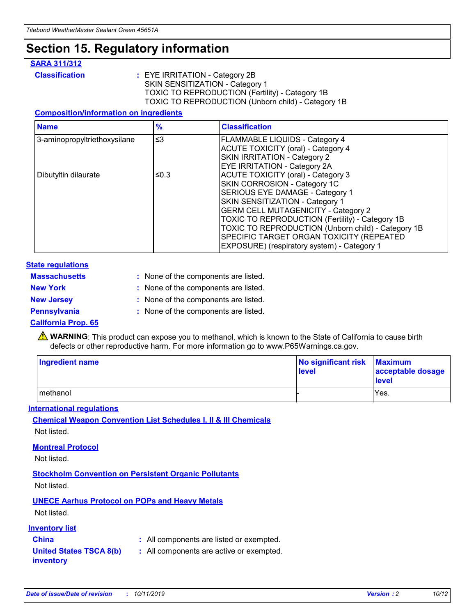### **Section 15. Regulatory information**

#### **SARA 311/312**

**Classification :** EYE IRRITATION - Category 2B SKIN SENSITIZATION - Category 1 TOXIC TO REPRODUCTION (Fertility) - Category 1B TOXIC TO REPRODUCTION (Unborn child) - Category 1B

#### **Composition/information on ingredients**

| <b>Name</b>                  | $\frac{9}{6}$ | <b>Classification</b>                                                                                            |
|------------------------------|---------------|------------------------------------------------------------------------------------------------------------------|
| 3-aminopropyltriethoxysilane | $\leq$ 3      | <b>FLAMMABLE LIQUIDS - Category 4</b><br><b>ACUTE TOXICITY (oral) - Category 4</b>                               |
|                              |               | SKIN IRRITATION - Category 2<br>EYE IRRITATION - Category 2A                                                     |
| Dibutyltin dilaurate         | ≤0.3          | ACUTE TOXICITY (oral) - Category 3<br>SKIN CORROSION - Category 1C                                               |
|                              |               | SERIOUS EYE DAMAGE - Category 1<br>SKIN SENSITIZATION - Category 1<br><b>GERM CELL MUTAGENICITY - Category 2</b> |
|                              |               | TOXIC TO REPRODUCTION (Fertility) - Category 1B<br>TOXIC TO REPRODUCTION (Unborn child) - Category 1B            |
|                              |               | SPECIFIC TARGET ORGAN TOXICITY (REPEATED<br>EXPOSURE) (respiratory system) - Category 1                          |

#### **State regulations**

| <b>Massachusetts</b> | : None of the components are listed. |
|----------------------|--------------------------------------|
| <b>New York</b>      | : None of the components are listed. |
| <b>New Jersey</b>    | : None of the components are listed. |
| Pennsylvania         | : None of the components are listed. |

#### **California Prop. 65**

**A** WARNING: This product can expose you to methanol, which is known to the State of California to cause birth defects or other reproductive harm. For more information go to www.P65Warnings.ca.gov.

| <b>Ingredient name</b> | No significant risk Maximum<br>level | acceptable dosage<br>level |
|------------------------|--------------------------------------|----------------------------|
| methanol               |                                      | Yes.                       |

#### **International regulations**

**Chemical Weapon Convention List Schedules I, II & III Chemicals** Not listed.

#### **Montreal Protocol**

Not listed.

#### **Stockholm Convention on Persistent Organic Pollutants**

Not listed.

### **UNECE Aarhus Protocol on POPs and Heavy Metals**

Not listed.

#### **Inventory list**

### **China :** All components are listed or exempted.

**United States TSCA 8(b) inventory :** All components are active or exempted.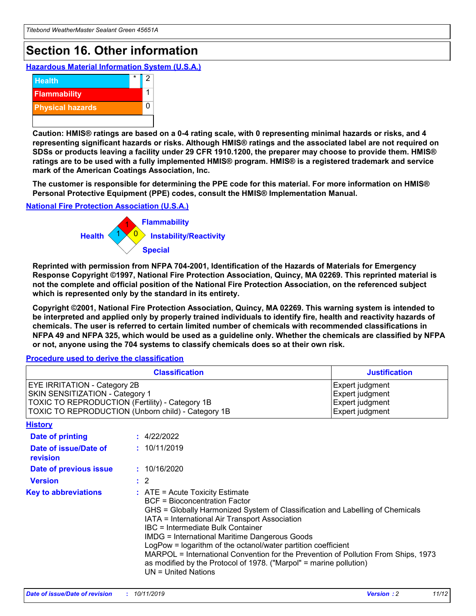## **Section 16. Other information**

**Hazardous Material Information System (U.S.A.)**



**Caution: HMIS® ratings are based on a 0-4 rating scale, with 0 representing minimal hazards or risks, and 4 representing significant hazards or risks. Although HMIS® ratings and the associated label are not required on SDSs or products leaving a facility under 29 CFR 1910.1200, the preparer may choose to provide them. HMIS® ratings are to be used with a fully implemented HMIS® program. HMIS® is a registered trademark and service mark of the American Coatings Association, Inc.**

**The customer is responsible for determining the PPE code for this material. For more information on HMIS® Personal Protective Equipment (PPE) codes, consult the HMIS® Implementation Manual.**

#### **National Fire Protection Association (U.S.A.)**



**Reprinted with permission from NFPA 704-2001, Identification of the Hazards of Materials for Emergency Response Copyright ©1997, National Fire Protection Association, Quincy, MA 02269. This reprinted material is not the complete and official position of the National Fire Protection Association, on the referenced subject which is represented only by the standard in its entirety.**

**Copyright ©2001, National Fire Protection Association, Quincy, MA 02269. This warning system is intended to be interpreted and applied only by properly trained individuals to identify fire, health and reactivity hazards of chemicals. The user is referred to certain limited number of chemicals with recommended classifications in NFPA 49 and NFPA 325, which would be used as a guideline only. Whether the chemicals are classified by NFPA or not, anyone using the 704 systems to classify chemicals does so at their own risk.**

#### **Procedure used to derive the classification**

| <b>Classification</b>                                                                                                                                                                  |                                                                                                                                                                                                                                                                   | <b>Justification</b>                                                                                                                                                                                                                                                                                       |  |
|----------------------------------------------------------------------------------------------------------------------------------------------------------------------------------------|-------------------------------------------------------------------------------------------------------------------------------------------------------------------------------------------------------------------------------------------------------------------|------------------------------------------------------------------------------------------------------------------------------------------------------------------------------------------------------------------------------------------------------------------------------------------------------------|--|
| <b>EYE IRRITATION - Category 2B</b><br>SKIN SENSITIZATION - Category 1<br><b>TOXIC TO REPRODUCTION (Fertility) - Category 1B</b><br>TOXIC TO REPRODUCTION (Unborn child) - Category 1B |                                                                                                                                                                                                                                                                   | Expert judgment<br>Expert judgment<br>Expert judgment<br>Expert judgment                                                                                                                                                                                                                                   |  |
| <b>History</b>                                                                                                                                                                         |                                                                                                                                                                                                                                                                   |                                                                                                                                                                                                                                                                                                            |  |
| <b>Date of printing</b>                                                                                                                                                                | : 4/22/2022                                                                                                                                                                                                                                                       |                                                                                                                                                                                                                                                                                                            |  |
| Date of issue/Date of<br>revision                                                                                                                                                      | : 10/11/2019                                                                                                                                                                                                                                                      |                                                                                                                                                                                                                                                                                                            |  |
| Date of previous issue                                                                                                                                                                 | : 10/16/2020                                                                                                                                                                                                                                                      |                                                                                                                                                                                                                                                                                                            |  |
| <b>Version</b>                                                                                                                                                                         | $\therefore$ 2                                                                                                                                                                                                                                                    |                                                                                                                                                                                                                                                                                                            |  |
| <b>Key to abbreviations</b>                                                                                                                                                            | $\therefore$ ATE = Acute Toxicity Estimate<br><b>BCF</b> = Bioconcentration Factor<br>IATA = International Air Transport Association<br><b>IBC</b> = Intermediate Bulk Container<br><b>IMDG = International Maritime Dangerous Goods</b><br>$UN = United Nations$ | GHS = Globally Harmonized System of Classification and Labelling of Chemicals<br>LogPow = logarithm of the octanol/water partition coefficient<br>MARPOL = International Convention for the Prevention of Pollution From Ships, 1973<br>as modified by the Protocol of 1978. ("Marpol" = marine pollution) |  |